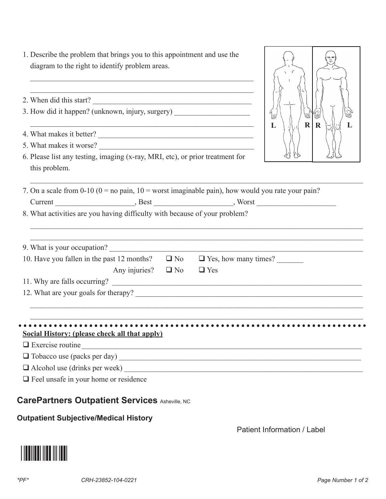| $*$ PF $*$ | CRH-23852-104-0221 | Page Number 1 of 2 |
|------------|--------------------|--------------------|

Patient Information / Label

 $\frac{1}{\sqrt{2}}$ 

**Outpatient Subjective/Medical History** 

| 2. When did this start?                                                                               |                         |                                                                    |                                        |
|-------------------------------------------------------------------------------------------------------|-------------------------|--------------------------------------------------------------------|----------------------------------------|
| 3. How did it happen? (unknown, injury, surgery)                                                      |                         |                                                                    | $\int_{\mathbb{U}}$<br>WŊ<br>.<br>Viik |
| 4. What makes it better?                                                                              |                         | <u> 1989 - Johann John Stein, mars an deutscher Stein († 1989)</u> | $R \mid R$                             |
| 5. What makes it worse?                                                                               |                         |                                                                    |                                        |
| 6. Please list any testing, imaging (x-ray, MRI, etc), or prior treatment for<br>this problem.        |                         |                                                                    |                                        |
| 7. On a scale from 0-10 ( $0 =$ no pain, $10 =$ worst imaginable pain), how would you rate your pain? |                         |                                                                    |                                        |
|                                                                                                       |                         |                                                                    |                                        |
| 8. What activities are you having difficulty with because of your problem?                            |                         |                                                                    |                                        |
| 9. What is your occupation?                                                                           |                         |                                                                    |                                        |
| 10. Have you fallen in the past 12 months? $\Box$ No $\Box$ Yes, how many times?                      |                         |                                                                    |                                        |
|                                                                                                       | Any injuries? $\Box$ No | $\Box$ Yes                                                         |                                        |
|                                                                                                       |                         |                                                                    |                                        |
|                                                                                                       |                         |                                                                    |                                        |
|                                                                                                       |                         |                                                                    |                                        |
| <b>Social History: (please check all that apply)</b>                                                  |                         |                                                                    |                                        |
| $\Box$ Exercise routine                                                                               |                         |                                                                    |                                        |
|                                                                                                       |                         |                                                                    |                                        |
|                                                                                                       |                         |                                                                    |                                        |
| $\Box$ Feel unsafe in your home or residence                                                          |                         |                                                                    |                                        |
| <b>CarePartners Outpatient Services Asheville, NC</b>                                                 |                         |                                                                    |                                        |

## 1. Describe the problem that brings you to this appointment and use the diagram to the right to identify problem areas.